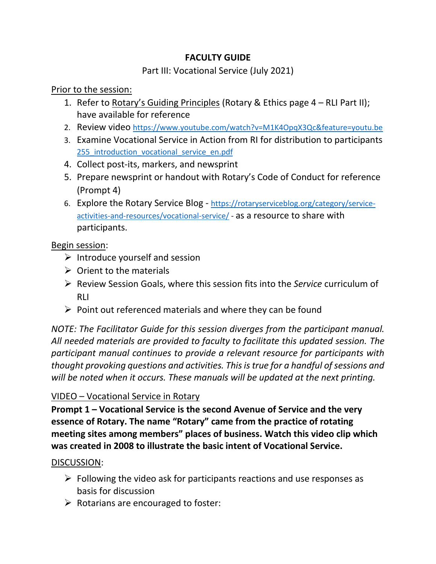# **FACULTY GUIDE**

# Part III: Vocational Service (July 2021)

Prior to the session:

- 1. Refer to Rotary's Guiding Principles (Rotary & Ethics page 4 RLI Part II); have available for reference
- 2. Review video <https://www.youtube.com/watch?v=M1K4OpqX3Qc&feature=youtu.be>
- 3. Examine Vocational Service in Action from RI for distribution to participants 255 introduction vocational service en.pdf
- 4. Collect post-its, markers, and newsprint
- 5. Prepare newsprint or handout with Rotary's Code of Conduct for reference (Prompt 4)
- 6. Explore the Rotary Service Blog [https://rotaryserviceblog.org/category/service](https://rotaryserviceblog.org/category/service-activities-and-resources/vocational-service/)[activities-and-resources/vocational-service/](https://rotaryserviceblog.org/category/service-activities-and-resources/vocational-service/) - as a resource to share with participants.

# Begin session:

- $\triangleright$  Introduce yourself and session
- $\triangleright$  Orient to the materials
- ➢ Review Session Goals, where this session fits into the *Service* curriculum of RLI
- $\triangleright$  Point out referenced materials and where they can be found

*NOTE: The Facilitator Guide for this session diverges from the participant manual. All needed materials are provided to faculty to facilitate this updated session. The participant manual continues to provide a relevant resource for participants with thought provoking questions and activities. This is true for a handful of sessions and will be noted when it occurs. These manuals will be updated at the next printing.*

### VIDEO – Vocational Service in Rotary

**Prompt 1 – Vocational Service is the second Avenue of Service and the very essence of Rotary. The name "Rotary" came from the practice of rotating meeting sites among members" places of business. Watch this video clip which was created in 2008 to illustrate the basic intent of Vocational Service.**

### DISCUSSION:

- $\triangleright$  Following the video ask for participants reactions and use responses as basis for discussion
- $\triangleright$  Rotarians are encouraged to foster: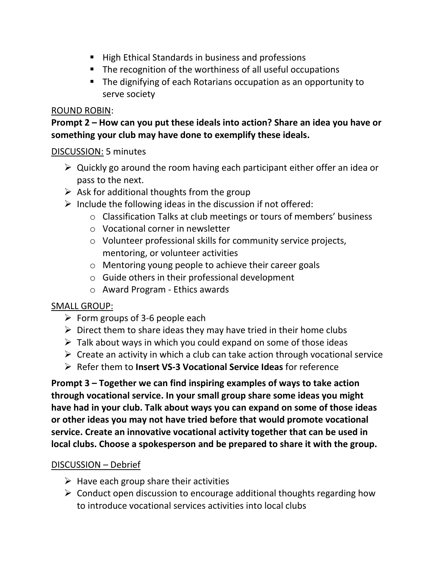- High Ethical Standards in business and professions
- The recognition of the worthiness of all useful occupations
- The dignifying of each Rotarians occupation as an opportunity to serve society

#### ROUND ROBIN:

#### **Prompt 2 – How can you put these ideals into action? Share an idea you have or something your club may have done to exemplify these ideals.**

#### DISCUSSION: 5 minutes

- $\triangleright$  Quickly go around the room having each participant either offer an idea or pass to the next.
- $\triangleright$  Ask for additional thoughts from the group
- $\triangleright$  Include the following ideas in the discussion if not offered:
	- o Classification Talks at club meetings or tours of members' business
	- o Vocational corner in newsletter
	- o Volunteer professional skills for community service projects, mentoring, or volunteer activities
	- o Mentoring young people to achieve their career goals
	- o Guide others in their professional development
	- o Award Program Ethics awards

### SMALL GROUP:

- $\triangleright$  Form groups of 3-6 people each
- $\triangleright$  Direct them to share ideas they may have tried in their home clubs
- $\triangleright$  Talk about ways in which you could expand on some of those ideas
- $\triangleright$  Create an activity in which a club can take action through vocational service
- ➢ Refer them to **Insert VS-3 Vocational Service Ideas** for reference

**Prompt 3 – Together we can find inspiring examples of ways to take action through vocational service. In your small group share some ideas you might have had in your club. Talk about ways you can expand on some of those ideas or other ideas you may not have tried before that would promote vocational service. Create an innovative vocational activity together that can be used in local clubs. Choose a spokesperson and be prepared to share it with the group.**

### DISCUSSION – Debrief

- $\triangleright$  Have each group share their activities
- $\triangleright$  Conduct open discussion to encourage additional thoughts regarding how to introduce vocational services activities into local clubs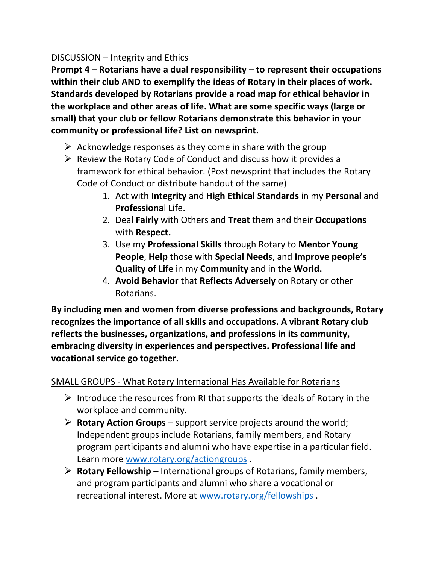### DISCUSSION – Integrity and Ethics

**Prompt 4 – Rotarians have a dual responsibility – to represent their occupations within their club AND to exemplify the ideas of Rotary in their places of work. Standards developed by Rotarians provide a road map for ethical behavior in the workplace and other areas of life. What are some specific ways (large or small) that your club or fellow Rotarians demonstrate this behavior in your community or professional life? List on newsprint.**

- $\triangleright$  Acknowledge responses as they come in share with the group
- $\triangleright$  Review the Rotary Code of Conduct and discuss how it provides a framework for ethical behavior. (Post newsprint that includes the Rotary Code of Conduct or distribute handout of the same)
	- 1. Act with **Integrity** and **High Ethical Standards** in my **Personal** and **Professiona**l Life.
	- 2. Deal **Fairly** with Others and **Treat** them and their **Occupations**  with **Respect.**
	- 3. Use my **Professional Skills** through Rotary to **Mentor Young People**, **Help** those with **Special Needs**, and **Improve people's Quality of Life** in my **Community** and in the **World.**
	- 4. **Avoid Behavior** that **Reflects Adversely** on Rotary or other Rotarians.

**By including men and women from diverse professions and backgrounds, Rotary recognizes the importance of all skills and occupations. A vibrant Rotary club reflects the businesses, organizations, and professions in its community, embracing diversity in experiences and perspectives. Professional life and vocational service go together.** 

### SMALL GROUPS - What Rotary International Has Available for Rotarians

- $\triangleright$  Introduce the resources from RI that supports the ideals of Rotary in the workplace and community.
- ➢ **Rotary Action Groups** support service projects around the world; Independent groups include Rotarians, family members, and Rotary program participants and alumni who have expertise in a particular field. Learn more [www.rotary.org/actiongroups](http://www.rotary.org/actiongroups) .
- ➢ **Rotary Fellowship** International groups of Rotarians, family members, and program participants and alumni who share a vocational or recreational interest. More at [www.rotary.org/fellowships](http://www.rotary.org/fellowships) .